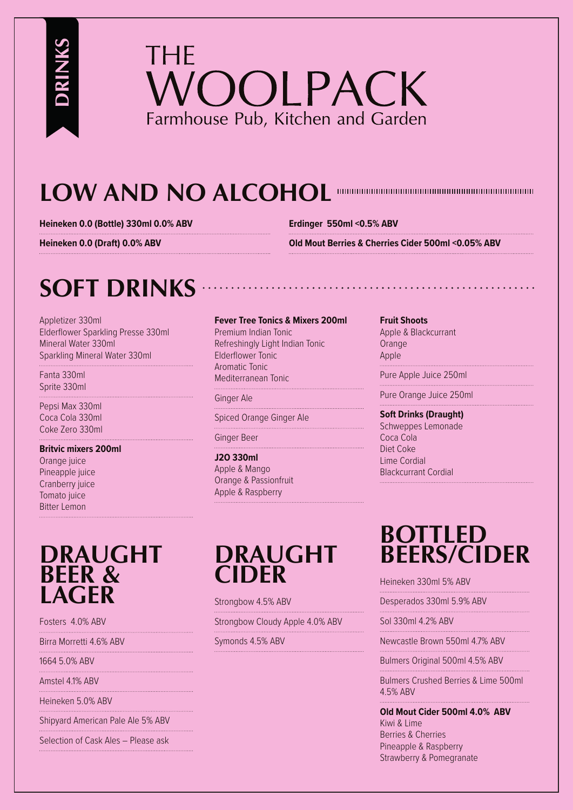

# **LOW AND NO ALCOHOL**

**Heineken 0.0 (Bottle) 330ml 0.0% ABV**

**Erdinger 550ml <0.5% ABV** 

**Heineken 0.0 (Draft) 0.0% ABV** 

**Old Mout Berries & Cherries Cider 500ml <0.05% ABV**

## **SOFT DRINKS**

Appletizer 330ml Elderflower Sparkling Presse 330ml Mineral Water 330ml Sparkling Mineral Water 330ml

Fanta 330ml Sprite 330ml

**DRINKS**

Pepsi Max 330ml Coca Cola 330ml Coke Zero 330ml

#### **Britvic mixers 200ml**

Orange juice Pineapple juice Cranberry juice Tomato juice Bitter Lemon

### **DRAUGHT BEER & LAGER**

Fosters 4.0% ABV

Birra Morretti 4.6% ABV

1664 5.0% ABV

Amstel 4.1% ABV

Heineken 5.0% ABV

Shipyard American Pale Ale 5% ABV

Selection of Cask Ales – Please ask

#### **Fever Tree Tonics & Mixers 200ml**

Premium Indian Tonic Refreshingly Light Indian Tonic Elderflower Tonic Aromatic Tonic Mediterranean Tonic

Ginger Ale

Spiced Orange Ginger Ale 

Ginger Beer 

#### **J2O 330ml** Apple & Mango Orange & Passionfruit Apple & Raspberry

#### **Fruit Shoots**

Apple & Blackcurrant **Orange** Apple

Pure Apple Juice 250ml 

Pure Orange Juice 250ml

**Soft Drinks (Draught)**  Schweppes Lemonade Coca Cola Diet Coke Lime Cordial Blackcurrant Cordial

### **DRAUGHT CIDER**

Strongbow 4.5% ABV

Strongbow Cloudy Apple 4.0% ABV

Symonds 4.5% ABV

### **BOTTLED BEERS/CIDER**

Heineken 330ml 5% ABV

Desperados 330ml 5.9% ABV 

Sol 330ml 4.2% ABV 

Newcastle Brown 550ml 4.7% ABV 

Bulmers Original 500ml 4.5% ABV

Bulmers Crushed Berries & Lime 500ml 4.5% ABV

**Old Mout Cider 500ml 4.0% ABV** Kiwi & Lime Berries & Cherries Pineapple & Raspberry Strawberry & Pomegranate